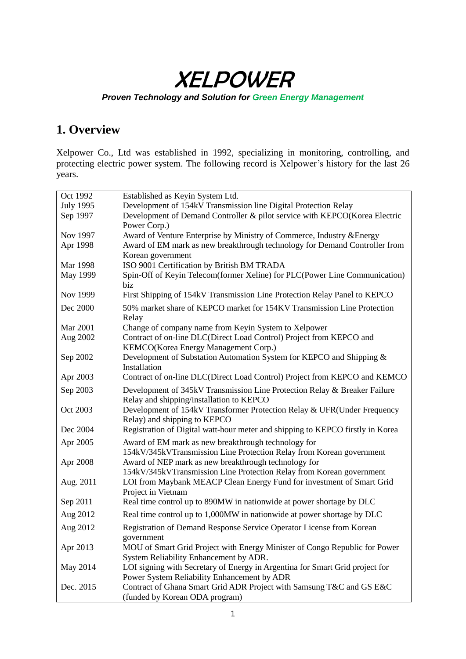XELPOWER

### *Proven Technology and Solution for Green Energy Management*

# **1. Overview**

Xelpower Co., Ltd was established in 1992, specializing in monitoring, controlling, and protecting electric power system. The following record is Xelpower's history for the last 26 years.

| Oct 1992         | Established as Keyin System Ltd.                                                            |
|------------------|---------------------------------------------------------------------------------------------|
| <b>July 1995</b> | Development of 154kV Transmission line Digital Protection Relay                             |
| Sep 1997         | Development of Demand Controller & pilot service with KEPCO(Korea Electric                  |
|                  | Power Corp.)                                                                                |
| Nov 1997         | Award of Venture Enterprise by Ministry of Commerce, Industry & Energy                      |
| Apr 1998         | Award of EM mark as new breakthrough technology for Demand Controller from                  |
|                  | Korean government                                                                           |
| Mar 1998         | ISO 9001 Certification by British BM TRADA                                                  |
| May 1999         | Spin-Off of Keyin Telecom(former Xeline) for PLC(Power Line Communication)                  |
|                  | biz                                                                                         |
| Nov 1999         | First Shipping of 154kV Transmission Line Protection Relay Panel to KEPCO                   |
| Dec 2000         | 50% market share of KEPCO market for 154KV Transmission Line Protection                     |
|                  | Relay                                                                                       |
| Mar 2001         | Change of company name from Keyin System to Xelpower                                        |
| Aug 2002         | Contract of on-line DLC(Direct Load Control) Project from KEPCO and                         |
|                  | KEMCO(Korea Energy Management Corp.)                                                        |
| Sep 2002         | Development of Substation Automation System for KEPCO and Shipping &                        |
|                  | Installation                                                                                |
| Apr 2003         | Contract of on-line DLC(Direct Load Control) Project from KEPCO and KEMCO                   |
| Sep 2003         | Development of 345kV Transmission Line Protection Relay & Breaker Failure                   |
|                  | Relay and shipping/installation to KEPCO                                                    |
| Oct 2003         | Development of 154kV Transformer Protection Relay & UFR(Under Frequency                     |
|                  | Relay) and shipping to KEPCO                                                                |
| Dec 2004         | Registration of Digital watt-hour meter and shipping to KEPCO firstly in Korea              |
| Apr 2005         | Award of EM mark as new breakthrough technology for                                         |
|                  | 154kV/345kVTransmission Line Protection Relay from Korean government                        |
| Apr 2008         | Award of NEP mark as new breakthrough technology for                                        |
|                  | 154kV/345kVTransmission Line Protection Relay from Korean government                        |
| Aug. 2011        | LOI from Maybank MEACP Clean Energy Fund for investment of Smart Grid<br>Project in Vietnam |
| Sep 2011         | Real time control up to 890MW in nationwide at power shortage by DLC                        |
|                  |                                                                                             |
| Aug 2012         | Real time control up to 1,000MW in nationwide at power shortage by DLC                      |
| Aug 2012         | Registration of Demand Response Service Operator License from Korean                        |
|                  | government                                                                                  |
| Apr 2013         | MOU of Smart Grid Project with Energy Minister of Congo Republic for Power                  |
|                  | System Reliability Enhancement by ADR.                                                      |
| May 2014         | LOI signing with Secretary of Energy in Argentina for Smart Grid project for                |
|                  | Power System Reliability Enhancement by ADR                                                 |
| Dec. 2015        | Contract of Ghana Smart Grid ADR Project with Samsung T&C and GS E&C                        |
|                  | (funded by Korean ODA program)                                                              |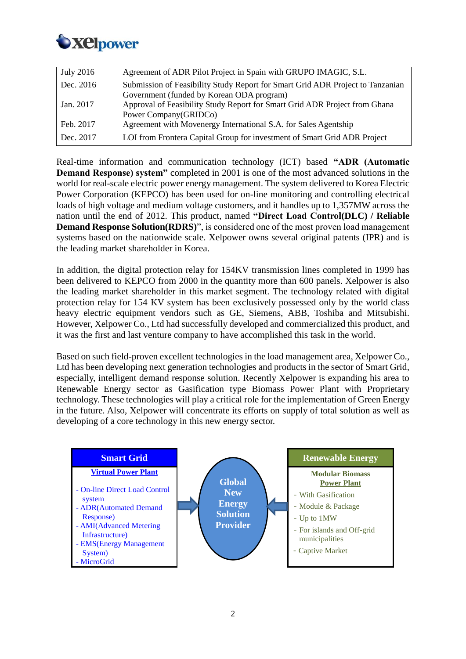

| July 2016 | Agreement of ADR Pilot Project in Spain with GRUPO IMAGIC, S.L.                                                             |
|-----------|-----------------------------------------------------------------------------------------------------------------------------|
| Dec. 2016 | Submission of Feasibility Study Report for Smart Grid ADR Project to Tanzanian<br>Government (funded by Korean ODA program) |
| Jan. 2017 | Approval of Feasibility Study Report for Smart Grid ADR Project from Ghana<br>Power Company (GRIDCo)                        |
| Feb. 2017 | Agreement with Movenergy International S.A. for Sales Agentship                                                             |
| Dec. 2017 | LOI from Frontera Capital Group for investment of Smart Grid ADR Project                                                    |

Real-time information and communication technology (ICT) based **"ADR (Automatic Demand Response) system"** completed in 2001 is one of the most advanced solutions in the world for real-scale electric power energy management. The system delivered to Korea Electric Power Corporation (KEPCO) has been used for on-line monitoring and controlling electrical loads of high voltage and medium voltage customers, and it handles up to 1,357MW across the nation until the end of 2012. This product, named **"Direct Load Control(DLC) / Reliable Demand Response Solution(RDRS)**", is considered one of the most proven load management systems based on the nationwide scale. Xelpower owns several original patents (IPR) and is the leading market shareholder in Korea.

In addition, the digital protection relay for 154KV transmission lines completed in 1999 has been delivered to KEPCO from 2000 in the quantity more than 600 panels. Xelpower is also the leading market shareholder in this market segment. The technology related with digital protection relay for 154 KV system has been exclusively possessed only by the world class heavy electric equipment vendors such as GE, Siemens, ABB, Toshiba and Mitsubishi. However, Xelpower Co., Ltd had successfully developed and commercialized this product, and it was the first and last venture company to have accomplished this task in the world.

Based on such field-proven excellent technologies in the load management area, Xelpower Co., Ltd has been developing next generation technologies and products in the sector of Smart Grid, especially, intelligent demand response solution. Recently Xelpower is expanding his area to Renewable Energy sector as Gasification type Biomass Power Plant with Proprietary technology. These technologies will play a critical role for the implementation of Green Energy in the future. Also, Xelpower will concentrate its efforts on supply of total solution as well as developing of a core technology in this new energy sector.

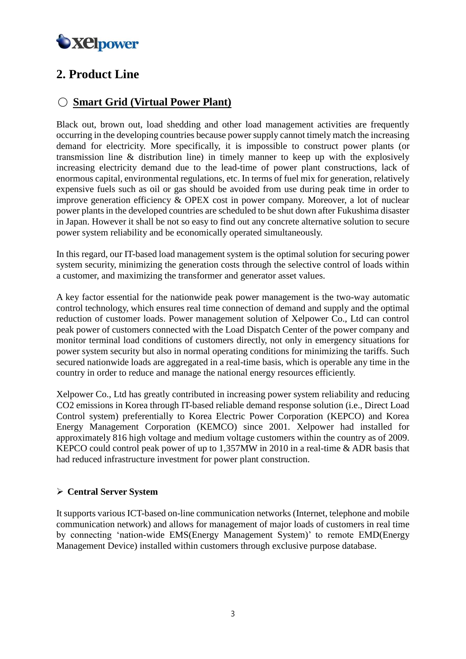

# **2. Product Line**

## ○ **Smart Grid (Virtual Power Plant)**

Black out, brown out, load shedding and other load management activities are frequently occurring in the developing countries because power supply cannot timely match the increasing demand for electricity. More specifically, it is impossible to construct power plants (or transmission line & distribution line) in timely manner to keep up with the explosively increasing electricity demand due to the lead-time of power plant constructions, lack of enormous capital, environmental regulations, etc. In terms of fuel mix for generation, relatively expensive fuels such as oil or gas should be avoided from use during peak time in order to improve generation efficiency & OPEX cost in power company. Moreover, a lot of nuclear power plants in the developed countries are scheduled to be shut down after Fukushima disaster in Japan. However it shall be not so easy to find out any concrete alternative solution to secure power system reliability and be economically operated simultaneously.

In this regard, our IT-based load management system is the optimal solution for securing power system security, minimizing the generation costs through the selective control of loads within a customer, and maximizing the transformer and generator asset values.

A key factor essential for the nationwide peak power management is the two-way automatic control technology, which ensures real time connection of demand and supply and the optimal reduction of customer loads. Power management solution of Xelpower Co., Ltd can control peak power of customers connected with the Load Dispatch Center of the power company and monitor terminal load conditions of customers directly, not only in emergency situations for power system security but also in normal operating conditions for minimizing the tariffs. Such secured nationwide loads are aggregated in a real-time basis, which is operable any time in the country in order to reduce and manage the national energy resources efficiently.

Xelpower Co., Ltd has greatly contributed in increasing power system reliability and reducing CO2 emissions in Korea through IT-based reliable demand response solution (i.e., Direct Load Control system) preferentially to Korea Electric Power Corporation (KEPCO) and Korea Energy Management Corporation (KEMCO) since 2001. Xelpower had installed for approximately 816 high voltage and medium voltage customers within the country as of 2009. KEPCO could control peak power of up to 1,357MW in 2010 in a real-time & ADR basis that had reduced infrastructure investment for power plant construction.

#### **Central Server System**

It supports various ICT-based on-line communication networks (Internet, telephone and mobile communication network) and allows for management of major loads of customers in real time by connecting 'nation-wide EMS(Energy Management System)' to remote EMD(Energy Management Device) installed within customers through exclusive purpose database.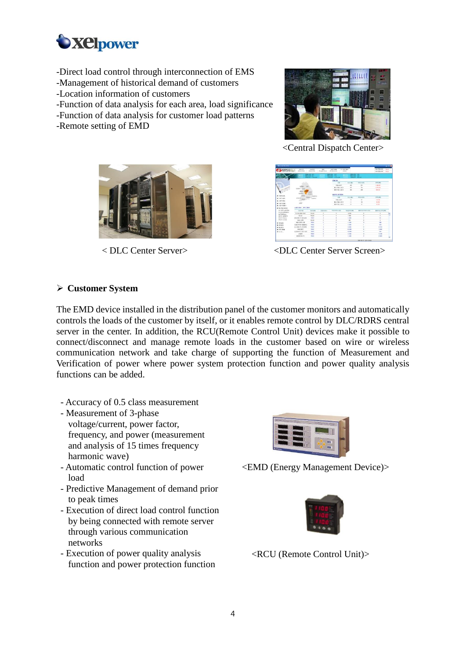

- -Direct load control through interconnection of EMS
- -Management of historical demand of customers
- -Location information of customers
- -Function of data analysis for each area, load significance
- -Function of data analysis for customer load patterns
- -Remote setting of EMD



<Central Dispatch Center>



< DLC Center Server>

| <b>Michael Advisers in</b><br><b>KEPCODLC</b> | 4844478<br>Clare our Share                      | <b>HIM B IS.</b><br>(Service Store)                               | 44.47<br><b>Browns Green</b> |                                             | 103.98<br><b>AL ENGINEER</b> | 0.18398<br>(A444) |                                                         |                                  | 410123156<br>AMOND US | $-100$<br><b>TRA</b> NS<br><b>TELL</b> |
|-----------------------------------------------|-------------------------------------------------|-------------------------------------------------------------------|------------------------------|---------------------------------------------|------------------------------|-------------------|---------------------------------------------------------|----------------------------------|-----------------------|----------------------------------------|
|                                               | <b>THY</b><br><b>TO 510</b>                     | <b>CALL AND WALL</b><br><b>PRINCIPAL MAY</b><br>The and I has set | <b>STATISTICS</b><br>---     | <b>THE CONTROL</b><br><b>Milliard Corp.</b> | m<br>200400 1074318          | $-102$            | <b><i><u>CHICK INT</u></i></b><br><b>WELL-ONE CARDS</b> | <b>Milliarder, Called A.1.1.</b> |                       |                                        |
|                                               |                                                 |                                                                   |                              |                                             | <b>DO RY</b>                 |                   |                                                         |                                  |                       |                                        |
|                                               |                                                 |                                                                   |                              |                                             | 716                          |                   | <b>ROCKI</b>                                            | WHOCRE                           | (9.76)(8.8)           |                                        |
|                                               |                                                 |                                                                   |                              |                                             | 100.483                      |                   | $\sim$                                                  | $\infty$                         | 1,500,007             |                                        |
|                                               | <b>LEBRATE</b>                                  |                                                                   |                              |                                             | 長分 下途 小童子                    |                   | <b>SEP</b>                                              | $\overline{1}$                   | 1.074.076             |                                        |
|                                               | <b>STOVE TANK</b>                               |                                                                   |                              |                                             | <b>MOUND 487</b>             |                   | <b>CALL</b>                                             | $\sim$                           | 109, 311              |                                        |
| $+$ 0.000 a.                                  | <b>REVIEW</b><br><b>SYSTEM</b> P<br><b>STAT</b> | a Bergerad                                                        |                              |                                             | <b><i>RHYS RINN</i></b>      |                   |                                                         |                                  |                       |                                        |
| $+487448$                                     | peami +1                                        | <b>FINE</b><br><b>MORNI</b>                                       |                              |                                             | 24                           |                   | 0.0001                                                  | 1 1010 012 311                   | 2010/08/1             |                                        |
| $+483.99$                                     | <b>REGIST</b>                                   |                                                                   |                              |                                             | 12世の世下                       |                   | $\sim$                                                  | ٠                                | <b>COLOR</b>          |                                        |
|                                               | $-0.01$                                         |                                                                   |                              |                                             | \$11,92,052                  |                   | $^{+}$                                                  | $\alpha$                         | <b>MARIE</b>          |                                        |
| $-0.002579791$                                |                                                 |                                                                   |                              |                                             | <b>MO 24 GR2</b>             |                   | ×                                                       | ×                                | 35, 24, 2             |                                        |
| <b>A can were</b>                             | ARRIVE NO TAX                                   |                                                                   |                              |                                             |                              |                   |                                                         |                                  |                       |                                        |
| $\blacktriangleright$ 8.4918 (appl)           |                                                 |                                                                   |                              |                                             |                              |                   |                                                         |                                  |                       |                                        |
| 7.46310438<br><b>WILM PHOENEY</b>             | $-0.0133$<br>-                                  | NAME                                                              | <b>PERMIT</b>                |                                             | <b>WID MALO CR 1</b>         |                   | 1930 Portugales                                         | <b>AGCSTERING A CR3</b>          | <b>MOLDEN PHOTOS</b>  |                                        |
| $+$ <i>Difficient</i>                         | <b>DADAME RP</b>                                | For the                                                           | ٠                            |                                             |                              |                   | 12,000                                                  | 3                                | ×                     |                                        |
| $+0.01$ (2004)3                               | <b>RUB</b>                                      | Fat 16                                                            | s                            |                                             |                              |                   | 1,900                                                   | ×                                | ×                     |                                        |
| <b>V TuC Plutato</b>                          | <b>NATE(0) (652)</b>                            | <b>TRUE</b>                                                       | ٠                            |                                             |                              |                   | 1,886                                                   | v                                | $\overline{a}$        |                                        |
| v GC Como                                     | <b>MILLION</b>                                  | <b>EM.IR</b>                                                      | $\overline{a}$               |                                             |                              |                   | 300                                                     | $\alpha$                         | $\overline{a}$        |                                        |
| $\blacktriangleright$ 1819-0031               | <b>MEEDS 2N</b>                                 | <b>Total</b>                                                      | ×                            |                                             | ٠                            |                   | 1.546                                                   | ×                                | Same                  |                                        |
| $-300.011$                                    | THE RESIDENCE OF CONTRACTOR                     | toksa                                                             | ٠                            |                                             |                              |                   | 1,588                                                   | ٠                                | $\overline{1}$        |                                        |
| $-8000$                                       | during (S) winkin                               | trium                                                             | ٠                            |                                             | ä                            |                   | 4,998                                                   | ٠                                | 4.272                 |                                        |
| $-292268$                                     | <b>WEATER</b>                                   | <b>Trime</b>                                                      | ×                            |                                             | ×                            |                   | 43,000                                                  | ×                                | 3.008                 |                                        |
| $\blacktriangleright$ BLC m.                  | 4019181-010 1439                                | Tokock                                                            | $\alpha$                     |                                             | ٠                            |                   | 10,000                                                  | ×                                | mix                   |                                        |
|                                               | 1/1899                                          | <b>TITLER</b>                                                     | $\overline{a}$               |                                             | ×                            |                   | 2.750                                                   | ×                                | <b>Lette</b>          |                                        |
|                                               | andating (b)                                    | Tohod                                                             | ×                            |                                             | ×                            |                   | 1,188                                                   | $\lambda$                        | 2.505                 |                                        |
|                                               |                                                 |                                                                   |                              |                                             |                              |                   |                                                         |                                  |                       |                                        |

<DLC Center Server Screen>

#### **Customer System**

The EMD device installed in the distribution panel of the customer monitors and automatically controls the loads of the customer by itself, or it enables remote control by DLC/RDRS central server in the center. In addition, the RCU(Remote Control Unit) devices make it possible to connect/disconnect and manage remote loads in the customer based on wire or wireless communication network and take charge of supporting the function of Measurement and Verification of power where power system protection function and power quality analysis functions can be added.

- Accuracy of 0.5 class measurement
- Measurement of 3-phase voltage/current, power factor, frequency, and power (measurement and analysis of 15 times frequency harmonic wave)
- Automatic control function of power load
- Predictive Management of demand prior to peak times
- Execution of direct load control function by being connected with remote server through various communication networks
- Execution of power quality analysis function and power protection function



<EMD (Energy Management Device)>



<RCU (Remote Control Unit)>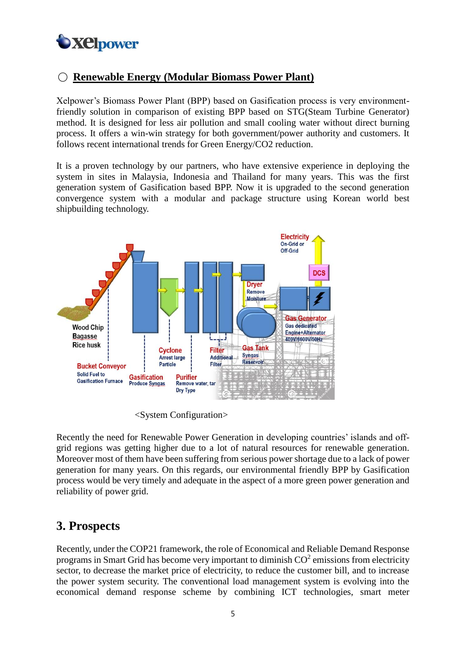

## ○ **Renewable Energy (Modular Biomass Power Plant)**

Xelpower's Biomass Power Plant (BPP) based on Gasification process is very environmentfriendly solution in comparison of existing BPP based on STG(Steam Turbine Generator) method. It is designed for less air pollution and small cooling water without direct burning process. It offers a win-win strategy for both government/power authority and customers. It follows recent international trends for Green Energy/CO2 reduction.

It is a proven technology by our partners, who have extensive experience in deploying the system in sites in Malaysia, Indonesia and Thailand for many years. This was the first generation system of Gasification based BPP. Now it is upgraded to the second generation convergence system with a modular and package structure using Korean world best shipbuilding technology.



<System Configuration>

Recently the need for Renewable Power Generation in developing countries' islands and offgrid regions was getting higher due to a lot of natural resources for renewable generation. Moreover most of them have been suffering from serious power shortage due to a lack of power generation for many years. On this regards, our environmental friendly BPP by Gasification process would be very timely and adequate in the aspect of a more green power generation and reliability of power grid.

# **3. Prospects**

Recently, under the COP21 framework, the role of Economical and Reliable Demand Response programs in Smart Grid has become very important to diminish  $CO<sup>2</sup>$  emissions from electricity sector, to decrease the market price of electricity, to reduce the customer bill, and to increase the power system security. The conventional load management system is evolving into the economical demand response scheme by combining ICT technologies, smart meter